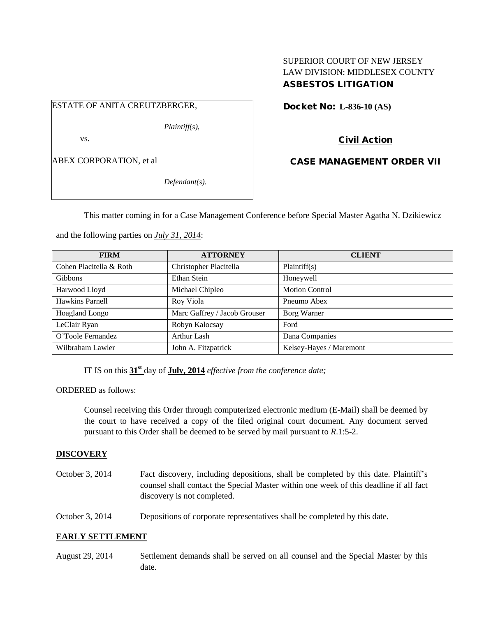# SUPERIOR COURT OF NEW JERSEY LAW DIVISION: MIDDLESEX COUNTY ASBESTOS LITIGATION

# ESTATE OF ANITA CREUTZBERGER,

*Plaintiff(s),*

vs.

ABEX CORPORATION, et al

*Defendant(s).*

Docket No: **L-836-10 (AS)** 

# Civil Action

CASE MANAGEMENT ORDER VII

This matter coming in for a Case Management Conference before Special Master Agatha N. Dzikiewicz

and the following parties on *July 31, 2014*:

| <b>FIRM</b>             | <b>ATTORNEY</b>              | <b>CLIENT</b>           |
|-------------------------|------------------------------|-------------------------|
| Cohen Placitella & Roth | Christopher Placitella       | Plaintiff(s)            |
| <b>Gibbons</b>          | Ethan Stein                  | Honeywell               |
| Harwood Lloyd           | Michael Chipleo              | <b>Motion Control</b>   |
| Hawkins Parnell         | Roy Viola                    | Pneumo Abex             |
| <b>Hoagland Longo</b>   | Marc Gaffrey / Jacob Grouser | Borg Warner             |
| LeClair Ryan            | Robyn Kalocsay               | Ford                    |
| O'Toole Fernandez       | Arthur Lash                  | Dana Companies          |
| Wilbraham Lawler        | John A. Fitzpatrick          | Kelsey-Hayes / Maremont |

IT IS on this **31st** day of **July, 2014** *effective from the conference date;*

ORDERED as follows:

Counsel receiving this Order through computerized electronic medium (E-Mail) shall be deemed by the court to have received a copy of the filed original court document. Any document served pursuant to this Order shall be deemed to be served by mail pursuant to *R*.1:5-2.

## **DISCOVERY**

- October 3, 2014 Fact discovery, including depositions, shall be completed by this date. Plaintiff's counsel shall contact the Special Master within one week of this deadline if all fact discovery is not completed.
- October 3, 2014 Depositions of corporate representatives shall be completed by this date.

## **EARLY SETTLEMENT**

August 29, 2014 Settlement demands shall be served on all counsel and the Special Master by this date.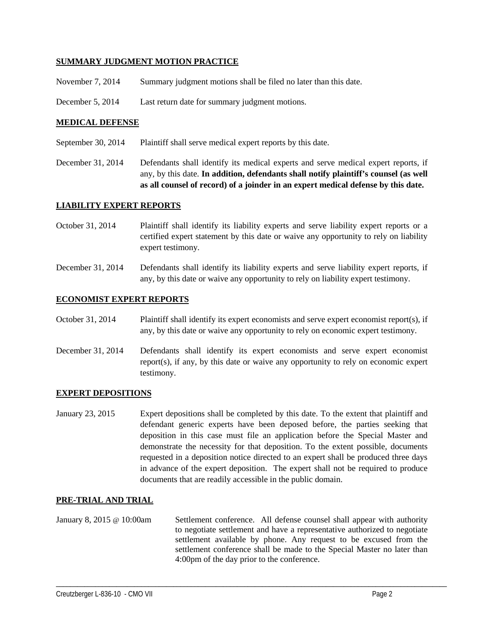## **SUMMARY JUDGMENT MOTION PRACTICE**

- November 7, 2014 Summary judgment motions shall be filed no later than this date.
- December 5, 2014 Last return date for summary judgment motions.

## **MEDICAL DEFENSE**

- September 30, 2014 Plaintiff shall serve medical expert reports by this date.
- December 31, 2014 Defendants shall identify its medical experts and serve medical expert reports, if any, by this date. **In addition, defendants shall notify plaintiff's counsel (as well as all counsel of record) of a joinder in an expert medical defense by this date.**

### **LIABILITY EXPERT REPORTS**

- October 31, 2014 Plaintiff shall identify its liability experts and serve liability expert reports or a certified expert statement by this date or waive any opportunity to rely on liability expert testimony.
- December 31, 2014 Defendants shall identify its liability experts and serve liability expert reports, if any, by this date or waive any opportunity to rely on liability expert testimony.

### **ECONOMIST EXPERT REPORTS**

- October 31, 2014 Plaintiff shall identify its expert economists and serve expert economist report(s), if any, by this date or waive any opportunity to rely on economic expert testimony.
- December 31, 2014 Defendants shall identify its expert economists and serve expert economist report(s), if any, by this date or waive any opportunity to rely on economic expert testimony.

### **EXPERT DEPOSITIONS**

January 23, 2015 Expert depositions shall be completed by this date. To the extent that plaintiff and defendant generic experts have been deposed before, the parties seeking that deposition in this case must file an application before the Special Master and demonstrate the necessity for that deposition. To the extent possible, documents requested in a deposition notice directed to an expert shall be produced three days in advance of the expert deposition. The expert shall not be required to produce documents that are readily accessible in the public domain.

### **PRE-TRIAL AND TRIAL**

January 8, 2015 @ 10:00am Settlement conference. All defense counsel shall appear with authority to negotiate settlement and have a representative authorized to negotiate settlement available by phone. Any request to be excused from the settlement conference shall be made to the Special Master no later than 4:00pm of the day prior to the conference.

\_\_\_\_\_\_\_\_\_\_\_\_\_\_\_\_\_\_\_\_\_\_\_\_\_\_\_\_\_\_\_\_\_\_\_\_\_\_\_\_\_\_\_\_\_\_\_\_\_\_\_\_\_\_\_\_\_\_\_\_\_\_\_\_\_\_\_\_\_\_\_\_\_\_\_\_\_\_\_\_\_\_\_\_\_\_\_\_\_\_\_\_\_\_\_\_\_\_\_\_\_\_\_\_\_\_\_\_\_\_